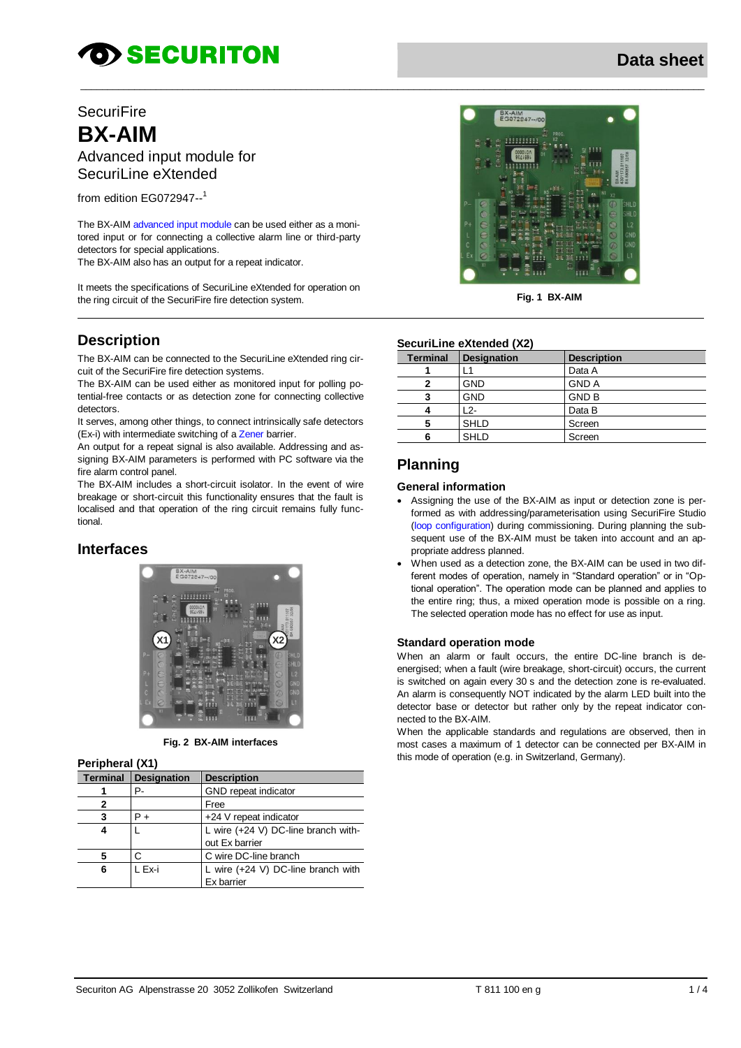# **OD SECURITON**

## **SecuriFire BX-AIM**

Advanced input module for SecuriLine eXtended

from edition EG072947-- 1

The BX-AIM advanced input module can be used either as a monitored input or for connecting a collective alarm line or third-party detectors for special applications.

The BX-AIM also has an output for a repeat indicator.

It meets the specifications of SecuriLine eXtended for operation on the ring circuit of the SecuriFire fire detection system.

## **Description**

The BX-AIM can be connected to the SecuriLine eXtended ring circuit of the SecuriFire fire detection systems.

The BX-AIM can be used either as monitored input for polling potential-free contacts or as detection zone for connecting collective detectors.

It serves, among other things, to connect intrinsically safe detectors (Ex-i) with intermediate switching of a Zener barrier.

An output for a repeat signal is also available. Addressing and assigning BX-AIM parameters is performed with PC software via the fire alarm control panel.

The BX-AIM includes a short-circuit isolator. In the event of wire breakage or short-circuit this functionality ensures that the fault is localised and that operation of the ring circuit remains fully functional.

## **Interfaces**



**Fig. 2 BX-AIM interfaces**

#### **Peripheral (X1)**

| <b>Terminal</b> | <b>Designation</b> | <b>Description</b>                           |
|-----------------|--------------------|----------------------------------------------|
|                 | P-                 | GND repeat indicator                         |
|                 |                    | Free                                         |
|                 | P +                | +24 V repeat indicator                       |
|                 |                    | L wire $(+24 V)$ DC-line branch with-        |
|                 |                    | out Ex barrier                               |
|                 |                    | C wire DC-line branch                        |
| 6               | L Ex-i             | L wire $(+24 \text{ V})$ DC-line branch with |
|                 |                    | Ex barrier                                   |



**Fig. 1 BX-AIM**

#### **SecuriLine eXtended (X2)**

| <b>Terminal</b> | <b>Designation</b> | <b>Description</b> |
|-----------------|--------------------|--------------------|
|                 |                    | Data A             |
|                 | <b>GND</b>         | <b>GND A</b>       |
| 3               | <b>GND</b>         | <b>GND B</b>       |
|                 | 12-                | Data B             |
| 5               | <b>SHLD</b>        | Screen             |
|                 | <b>SHLD</b>        | Screen             |

## **Planning**

 $\_$  ,  $\_$  ,  $\_$  ,  $\_$  ,  $\_$  ,  $\_$  ,  $\_$  ,  $\_$  ,  $\_$  ,  $\_$  ,  $\_$  ,  $\_$  ,  $\_$  ,  $\_$  ,  $\_$  ,  $\_$  ,  $\_$  ,  $\_$  ,  $\_$  ,  $\_$  ,  $\_$  ,  $\_$  ,  $\_$  ,  $\_$  ,  $\_$  ,  $\_$  ,  $\_$  ,  $\_$  ,  $\_$  ,  $\_$  ,  $\_$  ,  $\_$  ,  $\_$  ,  $\_$  ,  $\_$  ,  $\_$  ,  $\_$  ,

#### **General information**

- Assigning the use of the BX-AIM as input or detection zone is performed as with addressing/parameterisation using SecuriFire Studio (loop configuration) during commissioning. During planning the subsequent use of the BX-AIM must be taken into account and an appropriate address planned.
- When used as a detection zone, the BX-AIM can be used in two different modes of operation, namely in "Standard operation" or in "Optional operation". The operation mode can be planned and applies to the entire ring; thus, a mixed operation mode is possible on a ring. The selected operation mode has no effect for use as input.

#### **Standard operation mode**

When an alarm or fault occurs, the entire DC-line branch is deenergised; when a fault (wire breakage, short-circuit) occurs, the current is switched on again every 30 s and the detection zone is re-evaluated. An alarm is consequently NOT indicated by the alarm LED built into the detector base or detector but rather only by the repeat indicator connected to the BX-AIM.

When the applicable standards and regulations are observed, then in most cases a maximum of 1 detector can be connected per BX-AIM in this mode of operation (e.g. in Switzerland, Germany).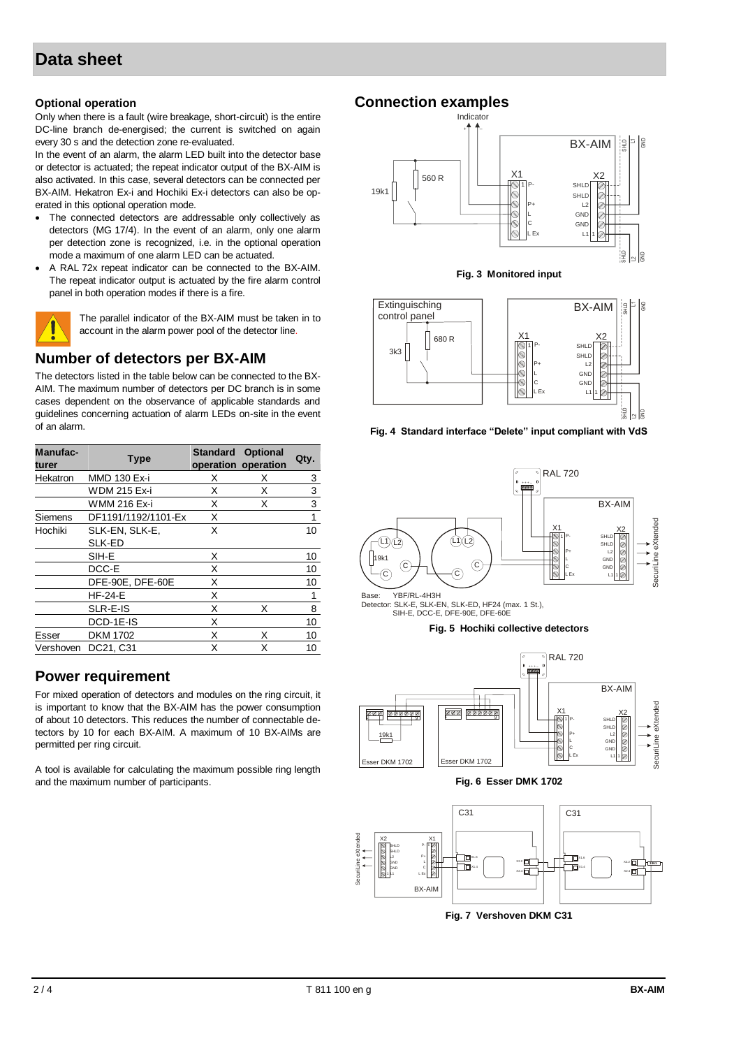## **Data sheet**

#### **Optional operation**

Only when there is a fault (wire breakage, short-circuit) is the entire DC-line branch de-energised; the current is switched on again every 30 s and the detection zone re-evaluated.

In the event of an alarm, the alarm LED built into the detector base or detector is actuated; the repeat indicator output of the BX-AIM is also activated. In this case, several detectors can be connected per BX-AIM. Hekatron Ex-i and Hochiki Ex-i detectors can also be operated in this optional operation mode.

- The connected detectors are addressable only collectively as detectors (MG 17/4). In the event of an alarm, only one alarm per detection zone is recognized, i.e. in the optional operation mode a maximum of one alarm LED can be actuated.
- A RAL 72x repeat indicator can be connected to the BX-AIM. The repeat indicator output is actuated by the fire alarm control panel in both operation modes if there is a fire.



The parallel indicator of the BX-AIM must be taken in to account in the alarm power pool of the detector line.

## **Number of detectors per BX-AIM**

The detectors listed in the table below can be connected to the BX-AIM. The maximum number of detectors per DC branch is in some cases dependent on the observance of applicable standards and guidelines concerning actuation of alarm LEDs on-site in the event of an alarm.

| Manufac-<br>turer | <b>Type</b>         | <b>Standard</b> | <b>Optional</b><br>operation operation | Qty. |
|-------------------|---------------------|-----------------|----------------------------------------|------|
| Hekatron          | MMD 130 Ex-i        | х               | х                                      | 3    |
|                   | <b>WDM 215 Ex-i</b> | X               | X                                      | 3    |
|                   | WMM 216 Ex-i        | X               | X                                      | 3    |
| Siemens           | DF1191/1192/1101-Ex | X               |                                        | 1    |
| Hochiki           | SLK-EN, SLK-E,      | X               |                                        | 10   |
|                   | SLK-ED              |                 |                                        |      |
|                   | SIH-E               | X               |                                        | 10   |
|                   | DCC-E               | X               |                                        | 10   |
|                   | DFE-90E, DFE-60E    | X               |                                        | 10   |
|                   | $HF-24-E$           | X               |                                        | 1    |
|                   | SLR-E-IS            | X               | х                                      | 8    |
|                   | DCD-1E-IS           | X               |                                        | 10   |
| Esser             | <b>DKM 1702</b>     | X               | X                                      | 10   |
| Vershoven         | DC21, C31           | X               | Χ                                      | 10   |

## **Power requirement**

For mixed operation of detectors and modules on the ring circuit, it is important to know that the BX-AIM has the power consumption of about 10 detectors. This reduces the number of connectable detectors by 10 for each BX-AIM. A maximum of 10 BX-AIMs are permitted per ring circuit.

A tool is available for calculating the maximum possible ring length and the maximum number of participants.

## **Connection examples**



**Fig. 3 Monitored input**







Base: YBF/RL-4H3H<br>Detector: SLK-E, SLK-EN, SLK-ED, HF24 (max. 1 St.),<br>SIH-E, DCC-E, DFE-90E, DFE-60E









**Fig. 7 Vershoven DKM C31**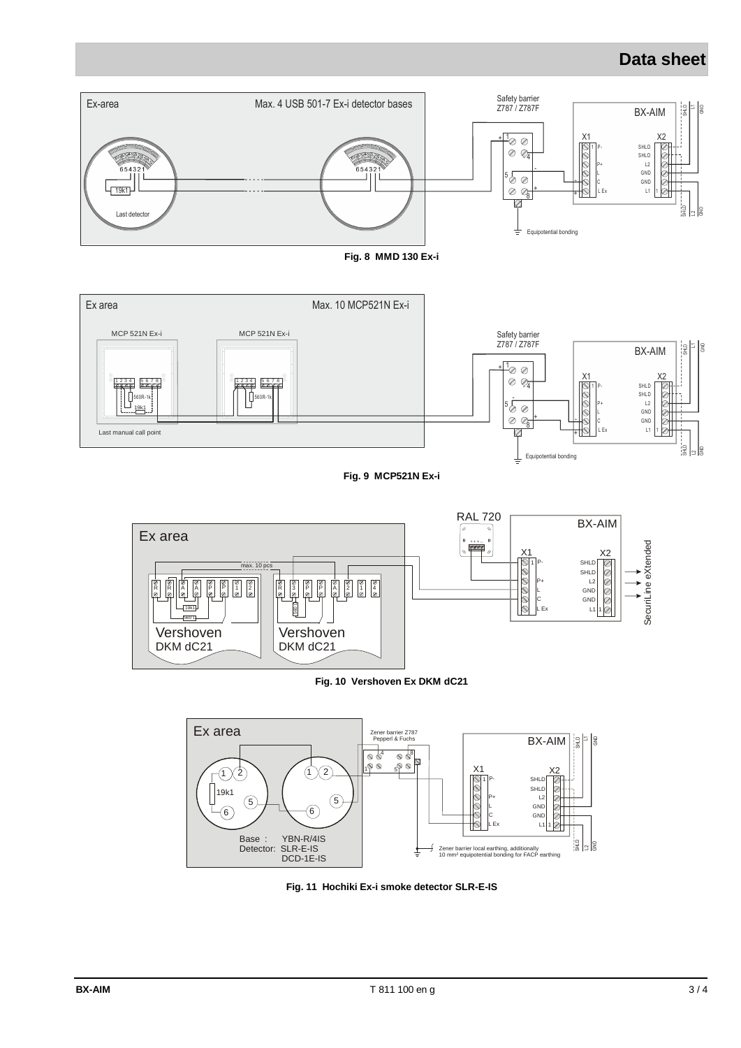## **Data sheet**









**Fig. 11 Hochiki Ex-i smoke detector SLR-E-IS**